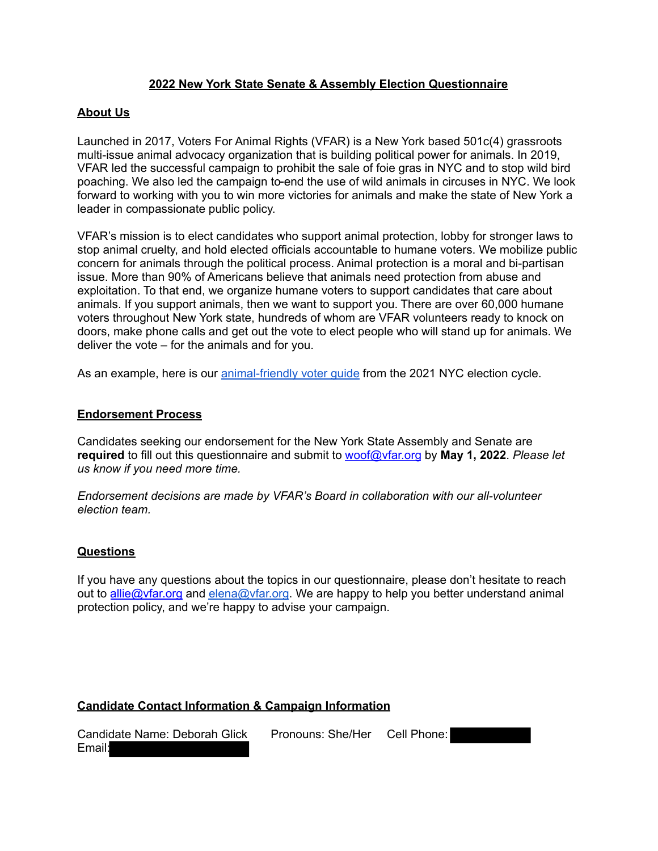### **2022 New York State Senate & Assembly Election Questionnaire**

### **About Us**

Launched in 2017, Voters For Animal Rights (VFAR) is a New York based 501c(4) grassroots multi-issue animal advocacy organization that is building political power for animals. In 2019, VFAR led the successful campaign to prohibit the sale of foie gras in NYC and to stop wild bird poaching. We also led the campaign to-end the use of wild animals in circuses in NYC. We look forward to working with you to win more victories for animals and make the state of New York a leader in compassionate public policy.

VFAR's mission is to elect candidates who support animal protection, lobby for stronger laws to stop animal cruelty, and hold elected officials accountable to humane voters. We mobilize public concern for animals through the political process. Animal protection is a moral and bi-partisan issue. More than 90% of Americans believe that animals need protection from abuse and exploitation. To that end, we organize humane voters to support candidates that care about animals. If you support animals, then we want to support you. There are over 60,000 humane voters throughout New York state, hundreds of whom are VFAR volunteers ready to knock on doors, make phone calls and get out the vote to elect people who will stand up for animals. We deliver the vote – for the animals and for you.

As an example, here is our animal-friendly voter quide from the 2021 NYC election cycle.

#### **Endorsement Process**

Candidates seeking our endorsement for the New York State Assembly and Senate are **required** to fill out this questionnaire and submit to woof@vfar.org by **May 1, 2022**. *Please let us know if you need more time.*

*Endorsement decisions are made by VFAR's Board in collaboration with our all-volunteer election team.*

#### **Questions**

If you have any questions about the topics in our questionnaire, please don't hesitate to reach out to allie @ vfar.org and elena@ vfar.org. We are happy to help you better understand animal protection policy, and we're happy to advise your campaign.

### **Candidate Contact Information & Campaign Information**

| Candidate Name: Deborah Glick | Pronouns: She/Her | Cell Phone: |  |
|-------------------------------|-------------------|-------------|--|
| Email:                        |                   |             |  |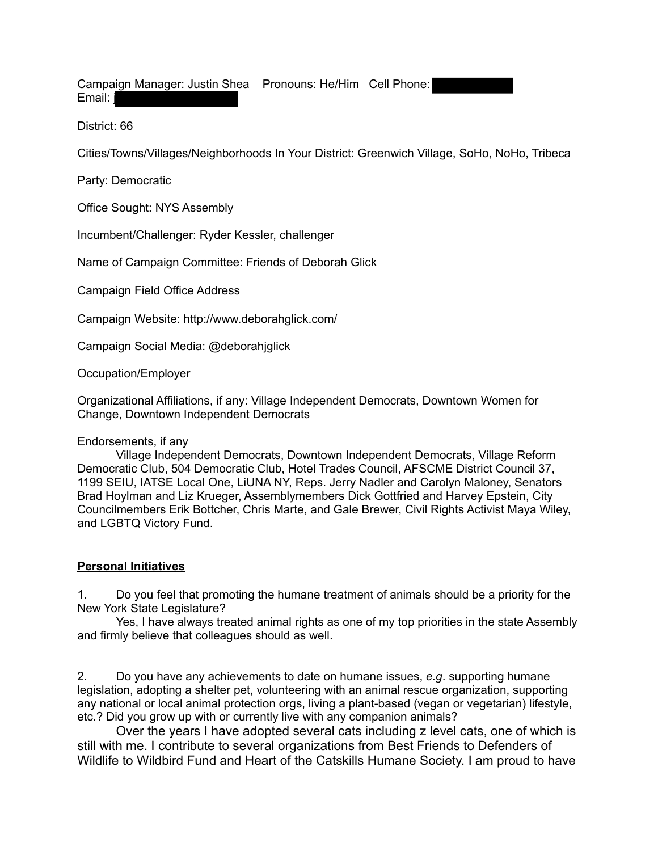Campaign Manager: Justin Shea Pronouns: He/Him Cell Phone: Email: j

District: 66

Cities/Towns/Villages/Neighborhoods In Your District: Greenwich Village, SoHo, NoHo, Tribeca

Party: Democratic

Office Sought: NYS Assembly

Incumbent/Challenger: Ryder Kessler, challenger

Name of Campaign Committee: Friends of Deborah Glick

Campaign Field Office Address

Campaign Website: http://www.deborahglick.com/

Campaign Social Media: @deborahjglick

Occupation/Employer

Organizational Affiliations, if any: Village Independent Democrats, Downtown Women for Change, Downtown Independent Democrats

### Endorsements, if any

Village Independent Democrats, Downtown Independent Democrats, Village Reform Democratic Club, 504 Democratic Club, Hotel Trades Council, AFSCME District Council 37, 1199 SEIU, IATSE Local One, LiUNA NY, Reps. Jerry Nadler and Carolyn Maloney, Senators Brad Hoylman and Liz Krueger, Assemblymembers Dick Gottfried and Harvey Epstein, City Councilmembers Erik Bottcher, Chris Marte, and Gale Brewer, Civil Rights Activist Maya Wiley, and LGBTQ Victory Fund.

### **Personal Initiatives**

1. Do you feel that promoting the humane treatment of animals should be a priority for the New York State Legislature?

Yes, I have always treated animal rights as one of my top priorities in the state Assembly and firmly believe that colleagues should as well.

2. Do you have any achievements to date on humane issues, *e.g*. supporting humane legislation, adopting a shelter pet, volunteering with an animal rescue organization, supporting any national or local animal protection orgs, living a plant-based (vegan or vegetarian) lifestyle, etc.? Did you grow up with or currently live with any companion animals?

Over the years I have adopted several cats including z level cats, one of which is still with me. I contribute to several organizations from Best Friends to Defenders of Wildlife to Wildbird Fund and Heart of the Catskills Humane Society. I am proud to have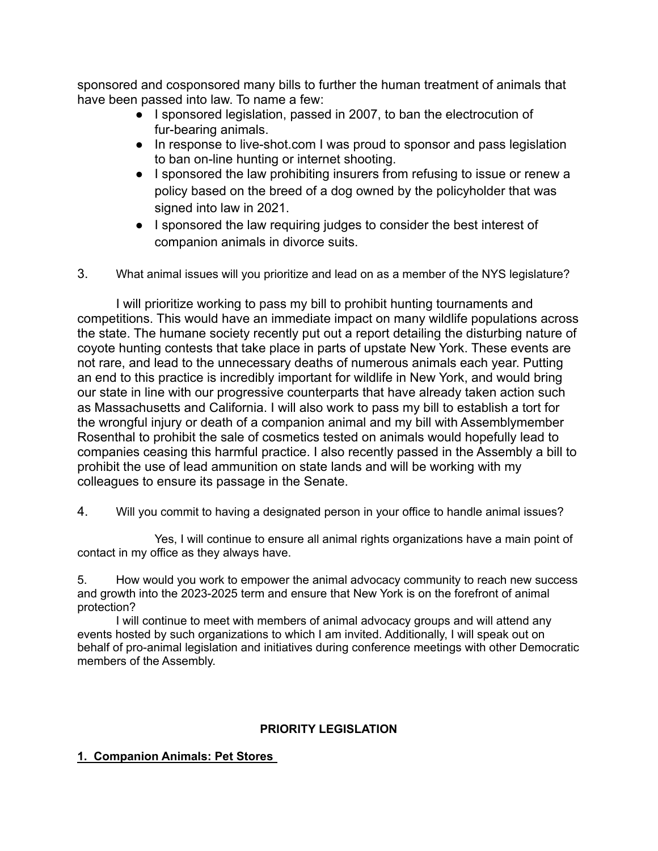sponsored and cosponsored many bills to further the human treatment of animals that have been passed into law. To name a few:

- I sponsored legislation, passed in 2007, to ban the electrocution of fur-bearing animals.
- In response to live-shot.com I was proud to sponsor and pass legislation to ban on-line hunting or internet shooting.
- I sponsored the law prohibiting insurers from refusing to issue or renew a policy based on the breed of a dog owned by the policyholder that was signed into law in 2021.
- I sponsored the law requiring judges to consider the best interest of companion animals in divorce suits.
- 3. What animal issues will you prioritize and lead on as a member of the NYS legislature?

I will prioritize working to pass my bill to prohibit hunting tournaments and competitions. This would have an immediate impact on many wildlife populations across the state. The humane society recently put out a report detailing the disturbing nature of coyote hunting contests that take place in parts of upstate New York. These events are not rare, and lead to the unnecessary deaths of numerous animals each year. Putting an end to this practice is incredibly important for wildlife in New York, and would bring our state in line with our progressive counterparts that have already taken action such as Massachusetts and California. I will also work to pass my bill to establish a tort for the wrongful injury or death of a companion animal and my bill with Assemblymember Rosenthal to prohibit the sale of cosmetics tested on animals would hopefully lead to companies ceasing this harmful practice. I also recently passed in the Assembly a bill to prohibit the use of lead ammunition on state lands and will be working with my colleagues to ensure its passage in the Senate.

4. Will you commit to having a designated person in your office to handle animal issues?

Yes, I will continue to ensure all animal rights organizations have a main point of contact in my office as they always have.

5. How would you work to empower the animal advocacy community to reach new success and growth into the 2023-2025 term and ensure that New York is on the forefront of animal protection?

I will continue to meet with members of animal advocacy groups and will attend any events hosted by such organizations to which I am invited. Additionally, I will speak out on behalf of pro-animal legislation and initiatives during conference meetings with other Democratic members of the Assembly.

## **PRIORITY LEGISLATION**

## **1. Companion Animals: Pet Stores**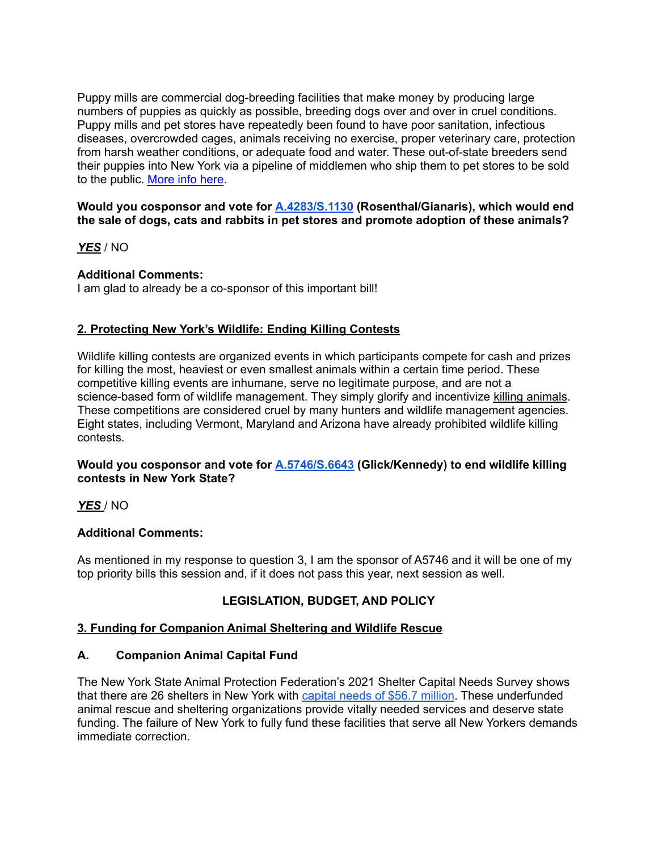Puppy mills are commercial dog-breeding facilities that make money by producing large numbers of puppies as quickly as possible, breeding dogs over and over in cruel conditions. Puppy mills and pet stores have repeatedly been found to have poor sanitation, infectious diseases, overcrowded cages, animals receiving no exercise, proper veterinary care, protection from harsh weather conditions, or adequate food and water. These out-of-state breeders send their puppies into New York via a pipeline of middlemen who ship them to pet stores to be sold to the public. More info here.

#### **Would you cosponsor and vote for A.4283/S.1130 (Rosenthal/Gianaris), which would end the sale of dogs, cats and rabbits in pet stores and promote adoption of these animals?**

*YES* / NO

### **Additional Comments:**

I am glad to already be a co-sponsor of this important bill!

### **2. Protecting New York's Wildlife: Ending Killing Contests**

Wildlife killing contests are organized events in which participants compete for cash and prizes for killing the most, heaviest or even smallest animals within a certain time period. These competitive killing events are inhumane, serve no legitimate purpose, and are not a science-based form of wildlife management. They simply glorify and incentivize killing animals. These competitions are considered cruel by many hunters and wildlife management agencies. Eight states, including Vermont, Maryland and Arizona have already prohibited wildlife killing contests.

### **Would you cosponsor and vote for A.5746/S.6643 (Glick/Kennedy) to end wildlife killing contests in New York State?**

*YES* / NO

### **Additional Comments:**

As mentioned in my response to question 3, I am the sponsor of A5746 and it will be one of my top priority bills this session and, if it does not pass this year, next session as well.

### **LEGISLATION, BUDGET, AND POLICY**

### **3. Funding for Companion Animal Sheltering and Wildlife Rescue**

### **A. Companion Animal Capital Fund**

The New York State Animal Protection Federation's 2021 Shelter Capital Needs Survey shows that there are 26 shelters in New York with capital needs of \$56.7 million. These underfunded animal rescue and sheltering organizations provide vitally needed services and deserve state funding. The failure of New York to fully fund these facilities that serve all New Yorkers demands immediate correction.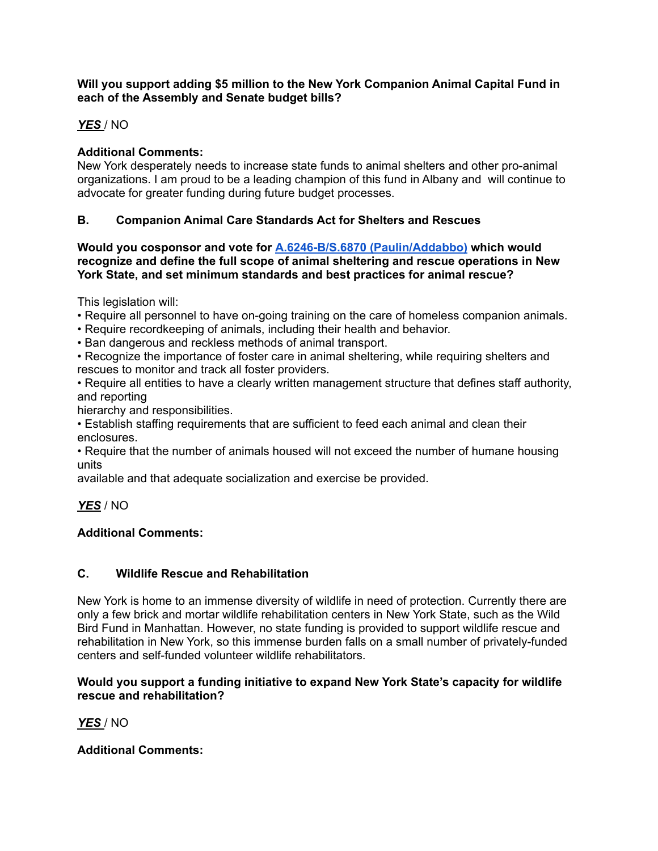### **Will you support adding \$5 million to the New York Companion Animal Capital Fund in each of the Assembly and Senate budget bills?**

# *YES* / NO

# **Additional Comments:**

New York desperately needs to increase state funds to animal shelters and other pro-animal organizations. I am proud to be a leading champion of this fund in Albany and will continue to advocate for greater funding during future budget processes.

# **B. Companion Animal Care Standards Act for Shelters and Rescues**

**Would you cosponsor and vote for A.6246-B/S.6870 (Paulin/Addabbo) which would recognize and define the full scope of animal sheltering and rescue operations in New York State, and set minimum standards and best practices for animal rescue?**

This legislation will:

- Require all personnel to have on-going training on the care of homeless companion animals.
- Require recordkeeping of animals, including their health and behavior.
- Ban dangerous and reckless methods of animal transport.

• Recognize the importance of foster care in animal sheltering, while requiring shelters and rescues to monitor and track all foster providers.

• Require all entities to have a clearly written management structure that defines staff authority, and reporting

hierarchy and responsibilities.

• Establish staffing requirements that are sufficient to feed each animal and clean their enclosures.

• Require that the number of animals housed will not exceed the number of humane housing units

available and that adequate socialization and exercise be provided.

## *YES* / NO

## **Additional Comments:**

## **C. Wildlife Rescue and Rehabilitation**

New York is home to an immense diversity of wildlife in need of protection. Currently there are only a few brick and mortar wildlife rehabilitation centers in New York State, such as the Wild Bird Fund in Manhattan. However, no state funding is provided to support wildlife rescue and rehabilitation in New York, so this immense burden falls on a small number of privately-funded centers and self-funded volunteer wildlife rehabilitators.

### **Would you support a funding initiative to expand New York State's capacity for wildlife rescue and rehabilitation?**

*YES* / NO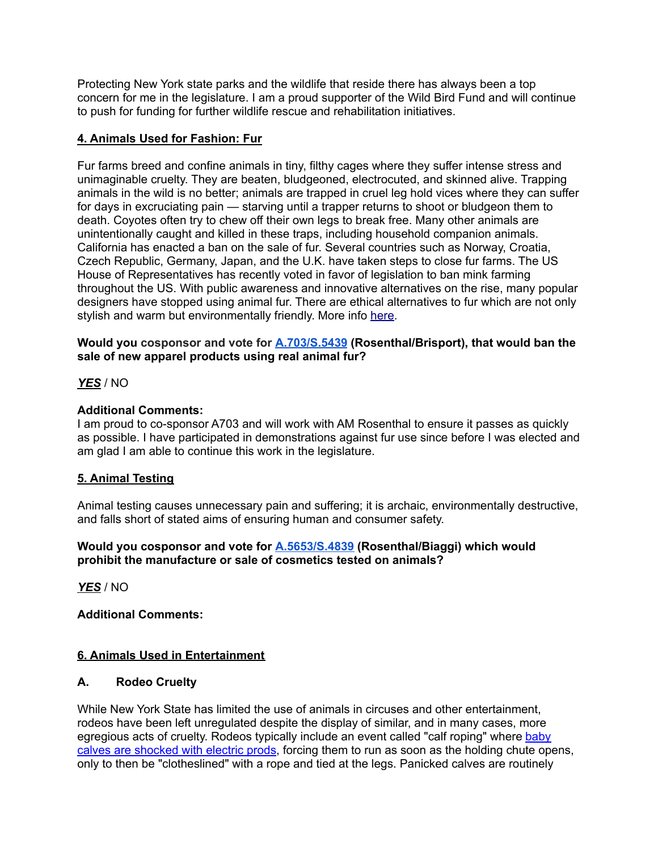Protecting New York state parks and the wildlife that reside there has always been a top concern for me in the legislature. I am a proud supporter of the Wild Bird Fund and will continue to push for funding for further wildlife rescue and rehabilitation initiatives.

## **4. Animals Used for Fashion: Fur**

Fur farms breed and confine animals in tiny, filthy cages where they suffer intense stress and unimaginable cruelty. They are beaten, bludgeoned, electrocuted, and skinned alive. Trapping animals in the wild is no better; animals are trapped in cruel leg hold vices where they can suffer for days in excruciating pain — starving until a trapper returns to shoot or bludgeon them to death. Coyotes often try to chew off their own legs to break free. Many other animals are unintentionally caught and killed in these traps, including household companion animals. California has enacted a ban on the sale of fur. Several countries such as Norway, Croatia, Czech Republic, Germany, Japan, and the U.K. have taken steps to close fur farms. The US House of Representatives has recently voted in favor of legislation to ban mink farming throughout the US. With public awareness and innovative alternatives on the rise, many popular designers have stopped using animal fur. There are ethical alternatives to fur which are not only stylish and warm but environmentally friendly. More info here.

### **Would you cosponsor and vote for A.703/S.5439 (Rosenthal/Brisport), that would ban the sale of new apparel products using real animal fur?**

### *YES* / NO

### **Additional Comments:**

I am proud to co-sponsor A703 and will work with AM Rosenthal to ensure it passes as quickly as possible. I have participated in demonstrations against fur use since before I was elected and am glad I am able to continue this work in the legislature.

## **5. Animal Testing**

Animal testing causes unnecessary pain and suffering; it is archaic, environmentally destructive, and falls short of stated aims of ensuring human and consumer safety.

#### **Would you cosponsor and vote for A.5653/S.4839 (Rosenthal/Biaggi) which would prohibit the manufacture or sale of cosmetics tested on animals?**

*YES* / NO

### **Additional Comments:**

## **6. Animals Used in Entertainment**

### **A. Rodeo Cruelty**

While New York State has limited the use of animals in circuses and other entertainment, rodeos have been left unregulated despite the display of similar, and in many cases, more egregious acts of cruelty. Rodeos typically include an event called "calf roping" where baby calves are shocked with electric prods, forcing them to run as soon as the holding chute opens, only to then be "clotheslined" with a rope and tied at the legs. Panicked calves are routinely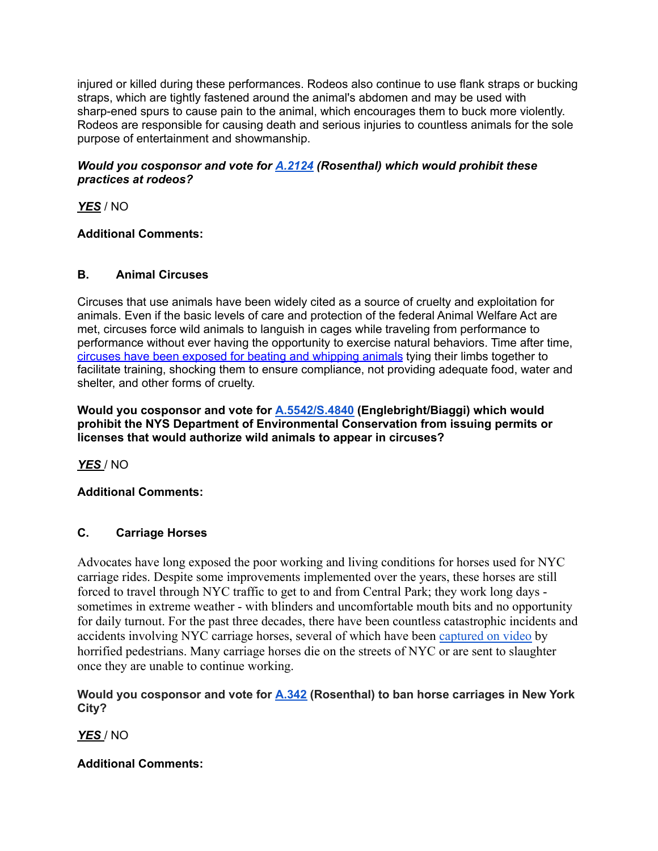injured or killed during these performances. Rodeos also continue to use flank straps or bucking straps, which are tightly fastened around the animal's abdomen and may be used with sharp-ened spurs to cause pain to the animal, which encourages them to buck more violently. Rodeos are responsible for causing death and serious injuries to countless animals for the sole purpose of entertainment and showmanship.

### *Would you cosponsor and vote for A.2124 (Rosenthal) which would prohibit these practices at rodeos?*

*YES* / NO

# **Additional Comments:**

# **B. Animal Circuses**

Circuses that use animals have been widely cited as a source of cruelty and exploitation for animals. Even if the basic levels of care and protection of the federal Animal Welfare Act are met, circuses force wild animals to languish in cages while traveling from performance to performance without ever having the opportunity to exercise natural behaviors. Time after time, circuses have been exposed for beating and whipping animals tying their limbs together to facilitate training, shocking them to ensure compliance, not providing adequate food, water and shelter, and other forms of cruelty.

**Would you cosponsor and vote for A.5542/S.4840 (Englebright/Biaggi) which would prohibit the NYS Department of Environmental Conservation from issuing permits or licenses that would authorize wild animals to appear in circuses?**

*YES* / NO

# **Additional Comments:**

# **C. Carriage Horses**

Advocates have long exposed the poor working and living conditions for horses used for NYC carriage rides. Despite some improvements implemented over the years, these horses are still forced to travel through NYC traffic to get to and from Central Park; they work long days sometimes in extreme weather - with blinders and uncomfortable mouth bits and no opportunity for daily turnout. For the past three decades, there have been countless catastrophic incidents and accidents involving NYC carriage horses, several of which have been captured on video by horrified pedestrians. Many carriage horses die on the streets of NYC or are sent to slaughter once they are unable to continue working.

**Would you cosponsor and vote for A.342 (Rosenthal) to ban horse carriages in New York City?**

*YES* / NO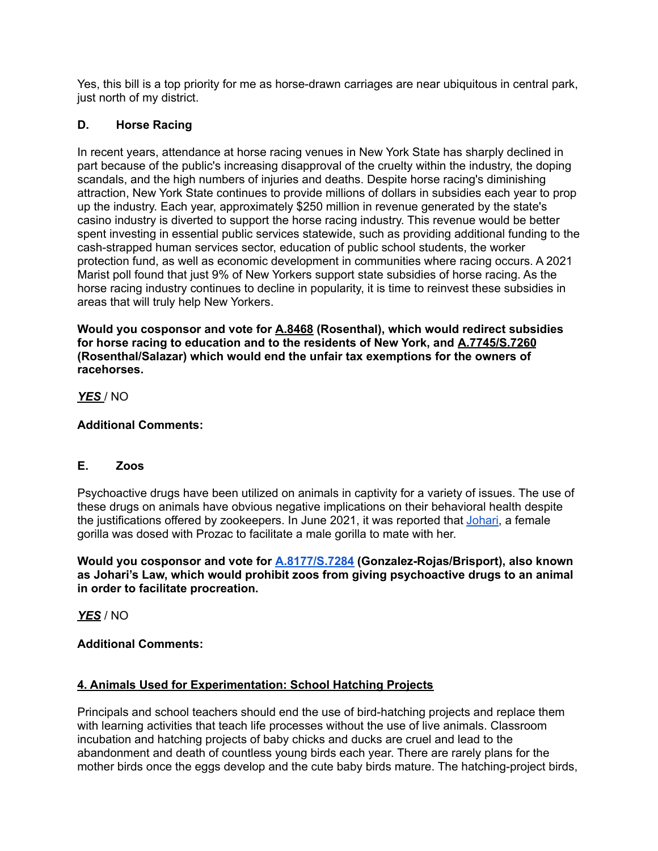Yes, this bill is a top priority for me as horse-drawn carriages are near ubiquitous in central park, just north of my district.

### **D. Horse Racing**

In recent years, attendance at horse racing venues in New York State has sharply declined in part because of the public's increasing disapproval of the cruelty within the industry, the doping scandals, and the high numbers of injuries and deaths. Despite horse racing's diminishing attraction, New York State continues to provide millions of dollars in subsidies each year to prop up the industry. Each year, approximately \$250 million in revenue generated by the state's casino industry is diverted to support the horse racing industry. This revenue would be better spent investing in essential public services statewide, such as providing additional funding to the cash-strapped human services sector, education of public school students, the worker protection fund, as well as economic development in communities where racing occurs. A 2021 Marist poll found that just 9% of New Yorkers support state subsidies of horse racing. As the horse racing industry continues to decline in popularity, it is time to reinvest these subsidies in areas that will truly help New Yorkers.

**Would you cosponsor and vote for A.8468 (Rosenthal), which would redirect subsidies for horse racing to education and to the residents of New York, and A.7745/S.7260 (Rosenthal/Salazar) which would end the unfair tax exemptions for the owners of racehorses.**

*YES* / NO

**Additional Comments:**

### **E. Zoos**

Psychoactive drugs have been utilized on animals in captivity for a variety of issues. The use of these drugs on animals have obvious negative implications on their behavioral health despite the justifications offered by zookeepers. In June 2021, it was reported that Johari, a female gorilla was dosed with Prozac to facilitate a male gorilla to mate with her.

**Would you cosponsor and vote for A.8177/S.7284 (Gonzalez-Rojas/Brisport), also known as Johari's Law, which would prohibit zoos from giving psychoactive drugs to an animal in order to facilitate procreation.**

*YES* / NO

### **Additional Comments:**

## **4. Animals Used for Experimentation: School Hatching Projects**

Principals and school teachers should end the use of bird-hatching projects and replace them with learning activities that teach life processes without the use of live animals. Classroom incubation and hatching projects of baby chicks and ducks are cruel and lead to the abandonment and death of countless young birds each year. There are rarely plans for the mother birds once the eggs develop and the cute baby birds mature. The hatching-project birds,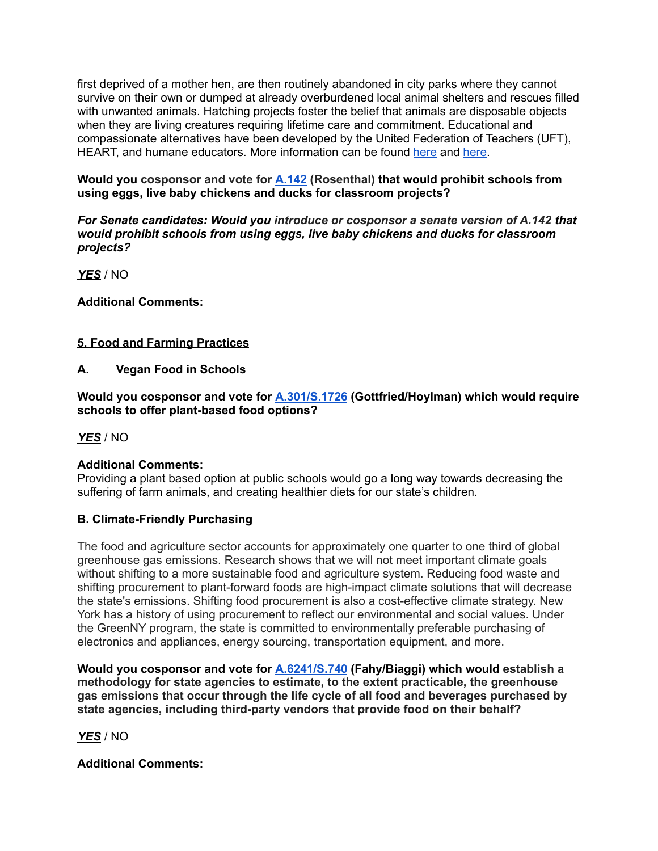first deprived of a mother hen, are then routinely abandoned in city parks where they cannot survive on their own or dumped at already overburdened local animal shelters and rescues filled with unwanted animals. Hatching projects foster the belief that animals are disposable objects when they are living creatures requiring lifetime care and commitment. Educational and compassionate alternatives have been developed by the United Federation of Teachers (UFT), HEART, and humane educators. More information can be found here and here.

**Would you cosponsor and vote for A.142 (Rosenthal) that would prohibit schools from using eggs, live baby chickens and ducks for classroom projects?**

*For Senate candidates: Would you introduce or cosponsor a senate version of A.142 that would prohibit schools from using eggs, live baby chickens and ducks for classroom projects?*

*YES* / NO

**Additional Comments:**

## **5. Food and Farming Practices**

**A. Vegan Food in Schools**

**Would you cosponsor and vote for A.301/S.1726 (Gottfried/Hoylman) which would require schools to offer plant-based food options?**

*YES* / NO

### **Additional Comments:**

Providing a plant based option at public schools would go a long way towards decreasing the suffering of farm animals, and creating healthier diets for our state's children.

### **B. Climate-Friendly Purchasing**

The food and agriculture sector accounts for approximately one quarter to one third of global greenhouse gas emissions. Research shows that we will not meet important climate goals without shifting to a more sustainable food and agriculture system. Reducing food waste and shifting procurement to plant-forward foods are high-impact climate solutions that will decrease the state's emissions. Shifting food procurement is also a cost-effective climate strategy. New York has a history of using procurement to reflect our environmental and social values. Under the GreenNY program, the state is committed to environmentally preferable purchasing of electronics and appliances, energy sourcing, transportation equipment, and more.

**Would you cosponsor and vote for A.6241/S.740 (Fahy/Biaggi) which would establish a methodology for state agencies to estimate, to the extent practicable, the greenhouse gas emissions that occur through the life cycle of all food and beverages purchased by state agencies, including third-party vendors that provide food on their behalf?**

*YES* / NO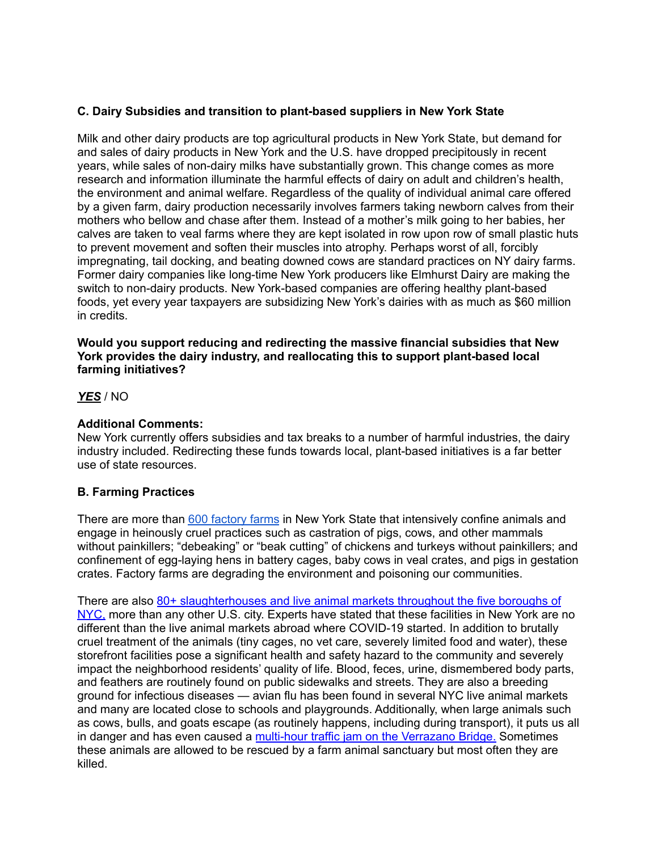### **C. Dairy Subsidies and transition to plant-based suppliers in New York State**

Milk and other dairy products are top agricultural products in New York State, but demand for and sales of dairy products in New York and the U.S. have dropped precipitously in recent years, while sales of non-dairy milks have substantially grown. This change comes as more research and information illuminate the harmful effects of dairy on adult and children's health, the environment and animal welfare. Regardless of the quality of individual animal care offered by a given farm, dairy production necessarily involves farmers taking newborn calves from their mothers who bellow and chase after them. Instead of a mother's milk going to her babies, her calves are taken to veal farms where they are kept isolated in row upon row of small plastic huts to prevent movement and soften their muscles into atrophy. Perhaps worst of all, forcibly impregnating, tail docking, and beating downed cows are standard practices on NY dairy farms. Former dairy companies like long-time New York producers like Elmhurst Dairy are making the switch to non-dairy products. New York-based companies are offering healthy plant-based foods, yet every year taxpayers are subsidizing New York's dairies with as much as \$60 million in credits.

#### **Would you support reducing and redirecting the massive financial subsidies that New York provides the dairy industry, and reallocating this to support plant-based local farming initiatives?**

#### *YES* / NO

### **Additional Comments:**

New York currently offers subsidies and tax breaks to a number of harmful industries, the dairy industry included. Redirecting these funds towards local, plant-based initiatives is a far better use of state resources.

### **B. Farming Practices**

There are more than 600 factory farms in New York State that intensively confine animals and engage in heinously cruel practices such as castration of pigs, cows, and other mammals without painkillers; "debeaking" or "beak cutting" of chickens and turkeys without painkillers; and confinement of egg-laying hens in battery cages, baby cows in veal crates, and pigs in gestation crates. Factory farms are degrading the environment and poisoning our communities.

There are also 80+ slaughterhouses and live animal markets throughout the five boroughs of NYC, more than any other U.S. city. Experts have stated that these facilities in New York are no different than the live animal markets abroad where COVID-19 started. In addition to brutally cruel treatment of the animals (tiny cages, no vet care, severely limited food and water), these storefront facilities pose a significant health and safety hazard to the community and severely impact the neighborhood residents' quality of life. Blood, feces, urine, dismembered body parts, and feathers are routinely found on public sidewalks and streets. They are also a breeding ground for infectious diseases — avian flu has been found in several NYC live animal markets and many are located close to schools and playgrounds. Additionally, when large animals such as cows, bulls, and goats escape (as routinely happens, including during transport), it puts us all in danger and has even caused a multi-hour traffic jam on the Verrazano Bridge. Sometimes these animals are allowed to be rescued by a farm animal sanctuary but most often they are killed.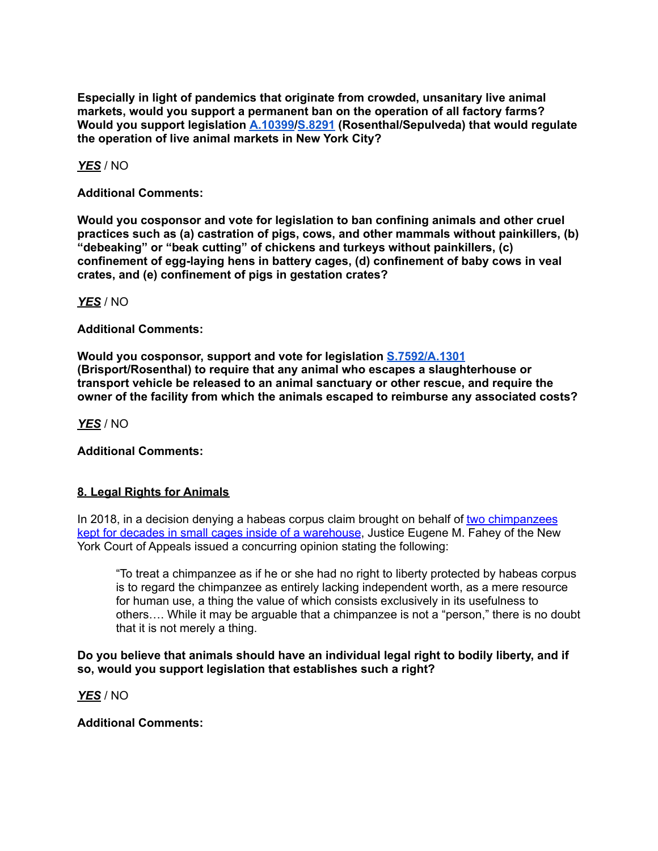**Especially in light of pandemics that originate from crowded, unsanitary live animal markets, would you support a permanent ban on the operation of all factory farms? Would you support legislation A.10399/S.8291 (Rosenthal/Sepulveda) that would regulate the operation of live animal markets in New York City?**

*YES* / NO

**Additional Comments:**

**Would you cosponsor and vote for legislation to ban confining animals and other cruel practices such as (a) castration of pigs, cows, and other mammals without painkillers, (b) "debeaking" or "beak cutting" of chickens and turkeys without painkillers, (c) confinement of egg-laying hens in battery cages, (d) confinement of baby cows in veal crates, and (e) confinement of pigs in gestation crates?**

*YES* / NO

**Additional Comments:**

**Would you cosponsor, support and vote for legislation S.7592/A.1301 (Brisport/Rosenthal) to require that any animal who escapes a slaughterhouse or transport vehicle be released to an animal sanctuary or other rescue, and require the owner of the facility from which the animals escaped to reimburse any associated costs?**

*YES* / NO

**Additional Comments:**

### **8. Legal Rights for Animals**

In 2018, in a decision denying a habeas corpus claim brought on behalf of two chimpanzees kept for decades in small cages inside of a warehouse, Justice Eugene M. Fahey of the New York Court of Appeals issued a concurring opinion stating the following:

"To treat a chimpanzee as if he or she had no right to liberty protected by habeas corpus is to regard the chimpanzee as entirely lacking independent worth, as a mere resource for human use, a thing the value of which consists exclusively in its usefulness to others…. While it may be arguable that a chimpanzee is not a "person," there is no doubt that it is not merely a thing.

**Do you believe that animals should have an individual legal right to bodily liberty, and if so, would you support legislation that establishes such a right?**

*YES* / NO